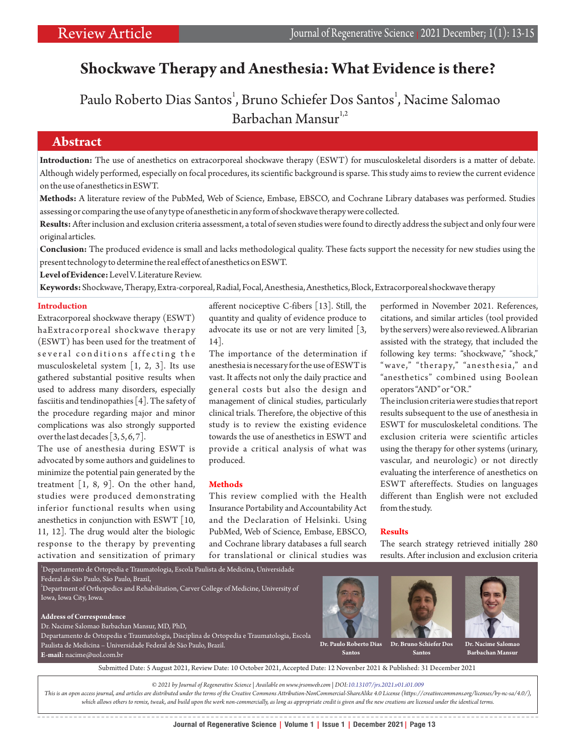# **Shockwave Therapy and Anesthesia: What Evidence is there?**

Paulo Roberto Dias Santos<sup>1</sup>, Bruno Schiefer Dos Santos<sup>1</sup>, Nacime Salomao Barbachan Mansur<sup>1,2</sup>

# **Abstract**

**Introduction:** The use of anesthetics on extracorporeal shockwave therapy (ESWT) for musculoskeletal disorders is a matter of debate. Although widely performed, especially on focal procedures, its scientific background is sparse. This study aims to review the current evidence on the use of anesthetics in ESWT.

**Methods:** A literature review of the PubMed, Web of Science, Embase, EBSCO, and Cochrane Library databases was performed. Studies assessing or comparing the use of any type of anesthetic in any form of shockwave therapy were collected.

**Results:**After inclusion and exclusion criteria assessment, a total of seven studies were found to directly address the subject and only four were original articles.

**Conclusion:** The produced evidence is small and lacks methodological quality. These facts support the necessity for new studies using the present technology to determine the real effect of anesthetics on ESWT.

**Level of Evidence:**Level V. Literature Review.

**Keywords:**Shockwave, Therapy, Extra-corporeal, Radial, Focal, Anesthesia, Anesthetics, Block, Extracorporeal shockwave therapy

### **Introduction**

Extracorporeal shockwave therapy (ESWT) haExtracorporeal shockwave therapy (ESWT) has been used for the treatment of several conditions affecting the musculoskeletal system [1, 2, 3]. Its use gathered substantial positive results when used to address many disorders, especially fasciitis and tendinopathies [4]. The safety of the procedure regarding major and minor complications was also strongly supported over the last decades [3, 5, 6, 7].

The use of anesthesia during ESWT is advocated by some authors and guidelines to minimize the potential pain generated by the treatment  $\begin{bmatrix} 1, 8, 9 \end{bmatrix}$ . On the other hand, studies were produced demonstrating inferior functional results when using anesthetics in conjunction with ESWT [10, 11, 12]. The drug would alter the biologic response to the therapy by preventing activation and sensitization of primary

afferent nociceptive C-fibers [13]. Still, the quantity and quality of evidence produce to advocate its use or not are very limited [3, 14].

The importance of the determination if anesthesia is necessary for the use of ESWT is vast. It affects not only the daily practice and general costs but also the design and management of clinical studies, particularly clinical trials. Therefore, the objective of this study is to review the existing evidence towards the use of anesthetics in ESWT and provide a critical analysis of what was produced.

#### **Methods**

This review complied with the Health Insurance Portability and Accountability Act and the Declaration of Helsinki. Using PubMed, Web of Science, Embase, EBSCO, and Cochrane library databases a full search for translational or clinical studies was

performed in November 2021. References, citations, and similar articles (tool provided by the servers) were also reviewed. A librarian assisted with the strategy, that included the following key terms: "shockwave," "shock," "wave," "therapy," "anesthesia," and "anesthetics" combined using Boolean operators "AND" or "OR."

The inclusion criteria were studies that report results subsequent to the use of anesthesia in ESWT for musculoskeletal conditions. The exclusion criteria were scientific articles using the therapy for other systems (urinary, vascular, and neurologic) or not directly evaluating the interference of anesthetics on ESWT aftereffects. Studies on languages different than English were not excluded from the study.

#### **Results**

The search strategy retrieved initially 280 results. After inclusion and exclusion criteria

 $^1$ Departamento de Ortopedia e Traumatologia, Escola Paulista de Medicina, Universidade

Federal de São Paulo, São Paulo, Brazil,  $^2$ Department of Orthopedics and Rehabilitation, Carver College of Medicine, University of

Iowa, Iowa City, Iowa.

#### **Address of Correspondence**

**E-mail:** nacime@uol.com.br

Dr. Nacime Salomao Barbachan Mansur, MD, PhD,

Departamento de Ortopedia e Traumatologia, Disciplina de Ortopedia e Traumatologia, Escola Paulista de Medicina – Universidade Federal de São Paulo, Brazil.





**Santos**



**Dr. Nacime Salo Barbachan Mansur**

**Santos**

Submitted Date: 5 August 2021, Review Date: 10 October 2021, Accepted Date: 12 Novenber 2021 & Published: 31 December 2021

*© 2021 by Journal of Regenerative Science | Available on www.jrsonweb.com | DOI:10.13107/jrs.2021.v01.i01.009*

*This is an open access journal, and articles are distributed under the terms of the Creative Commons Attribution-NonCommercial-ShareAlike 4.0 License (https://creativecommons.org/licenses/by-nc-sa/4.0/), which allows others to remix, tweak, and build upon the work non-commercially, as long as appropriate credit is given and the new creations are licensed under the identical terms.*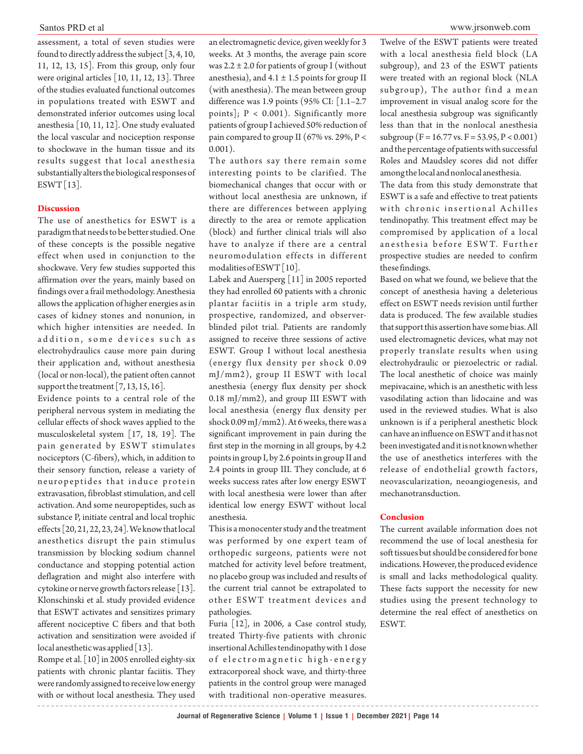assessment, a total of seven studies were found to directly address the subject  $[3, 4, 10, 10]$ 11, 12, 13, 15]. From this group, only four were original articles [10, 11, 12, 13]. Three of the studies evaluated functional outcomes in populations treated with ESWT and demonstrated inferior outcomes using local anesthesia [10, 11, 12]. One study evaluated the local vascular and nociception response to shockwave in the human tissue and its results suggest that local anesthesia substantially alters the biological responses of

#### **Discussion**

The use of anesthetics for ESWT is a paradigm that needs to be better studied. One of these concepts is the possible negative effect when used in conjunction to the shockwave. Very few studies supported this affirmation over the years, mainly based on findings over a frail methodology. Anesthesia allows the application of higher energies as in cases of kidney stones and nonunion, in which higher intensities are needed. In addition, some devices such as electrohydraulics cause more pain during their application and, without anesthesia (local or non-local), the patient often cannot support the treatment [7, 13, 15, 16].

Evidence points to a central role of the peripheral nervous system in mediating the cellular effects of shock waves applied to the musculoskeletal system [17, 18, 19]. The pain generated by ESWT stimulates nociceptors (C-fibers), which, in addition to their sensory function, release a variety of neuropeptides that induce protein extravasation, fibroblast stimulation, and cell activation. And some neuropeptides, such as substance P, initiate central and local trophic effects [20, 21, 22, 23, 24]. We know that local anesthetics disrupt the pain stimulus transmission by blocking sodium channel conductance and stopping potential action deflagration and might also interfere with cytokine or nerve growth factors release [13]. Klonschinski et al. study provided evidence that ESWT activates and sensitizes primary afferent nociceptive C fibers and that both activation and sensitization were avoided if local anesthetic was applied [13].

Rompe et al. [10] in 2005 enrolled eighty-six patients with chronic plantar faciitis. They were randomly assigned to receive low energy with or without local anesthesia. They used

an electromagnetic device, given weekly for 3 weeks. At 3 months, the average pain score was  $2.2 \pm 2.0$  for patients of group I (without anesthesia), and  $4.1 \pm 1.5$  points for group II (with anesthesia). The mean between group difference was 1.9 points (95% CI: [1.1–2.7 points];  $P < 0.001$ ). Significantly more patients of group I achieved 50% reduction of pain compared to group II (67% vs. 29%, P < 0.001).

The authors say there remain some interesting points to be clarified. The biomechanical changes that occur with or without local anesthesia are unknown, if there are differences between applying directly to the area or remote application (block) and further clinical trials will also have to analyze if there are a central neuromodulation effects in different modalities of ESWT [10]. ESWT [13]. The data from this study demonstrate that biomechanical changes that occur with or The data from this study demonstrate that

> Labek and Auersperg [11] in 2005 reported they had enrolled 60 patients with a chronic plantar faciitis in a triple arm study, prospective, randomized, and observerblinded pilot trial. Patients are randomly assigned to receive three sessions of active ESWT. Group I without local anesthesia (energy flux density per shock 0.09 mJ/mm2), group II ESWT with local anesthesia (energy flux density per shock 0.18 mJ/mm2), and group III ESWT with local anesthesia (energy flux density per shock 0.09 mJ/mm2). At 6 weeks, there was a significant improvement in pain during the first step in the morning in all groups, by 4.2 points in group I, by 2.6 points in group II and 2.4 points in group III. They conclude, at 6 weeks success rates after low energy ESWT with local anesthesia were lower than after identical low energy ESWT without local anesthesia.

> This is a monocenter study and the treatment was performed by one expert team of orthopedic surgeons, patients were not matched for activity level before treatment, no placebo group was included and results of the current trial cannot be extrapolated to other ESWT treatment devices and pathologies.

> Furia [12], in 2006, a Case control study, treated Thirty-five patients with chronic insertional Achilles tendinopathy with 1 dose of electromagnetic high-energy extracorporeal shock wave, and thirty-three patients in the control group were managed with traditional non-operative measures.

Twelve of the ESWT patients were treated with a local anesthesia field block (LA subgroup), and 23 of the ESWT patients were treated with an regional block (NLA subgroup), The author find a mean improvement in visual analog score for the local anesthesia subgroup was significantly less than that in the nonlocal anesthesia subgroup ( $F = 16.77$  vs.  $F = 53.95$ ,  $P < 0.001$ ) and the percentage of patients with successful Roles and Maudsley scores did not differ among the local and nonlocal anesthesia.

ESWT is a safe and effective to treat patients with chronic insertional Achilles tendinopathy. This treatment effect may be compromised by application of a local an esthesia before ESWT. Further prospective studies are needed to confirm these findings.

Based on what we found, we believe that the concept of anesthesia having a deleterious effect on ESWT needs revision until further data is produced. The few available studies that support this assertion have some bias. All used electromagnetic devices, what may not properly translate results when using electrohydraulic or piezoelectric or radial. The local anesthetic of choice was mainly mepivacaine, which is an anesthetic with less vasodilating action than lidocaine and was used in the reviewed studies. What is also unknown is if a peripheral anesthetic block can have an influence on ESWT and it has not been investigated and it is not known whether the use of anesthetics interferes with the release of endothelial growth factors, neovascularization, neoangiogenesis, and mechanotransduction.

## **Conclusion**

The current available information does not recommend the use of local anesthesia for soft tissues but should be considered for bone indications. However, the produced evidence is small and lacks methodological quality. These facts support the necessity for new studies using the present technology to determine the real effect of anesthetics on ESWT.